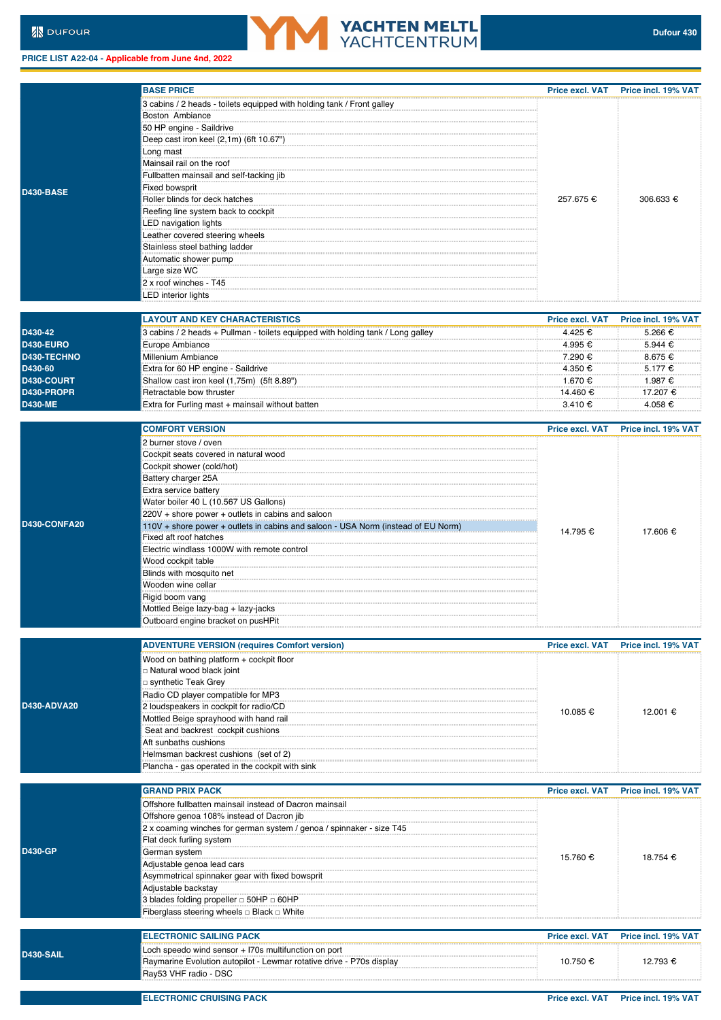**PRICE LIST A22-04 - Applicable from June 4nd, 2022**

## **YACHTEN MELTL**<br>YACHTCENTRUM

| 3 cabins / 2 heads - toilets equipped with holding tank / Front galley<br>Boston Ambiance<br>50 HP engine - Saildrive<br>Deep cast iron keel (2,1m) (6ft 10.67")<br>Long mast<br>Mainsail rail on the roof<br>Fullbatten mainsail and self-tacking jib<br>Fixed bowsprit<br>D430-BASE<br>Roller blinds for deck hatches<br>257.675 €<br>306.633 €<br>Reefing line system back to cockpit<br>LED navigation lights<br>Leather covered steering wheels<br>Stainless steel bathing ladder<br>Automatic shower pump<br>Large size WC<br>2 x roof winches - T45<br>LED interior lights<br><b>LAYOUT AND KEY CHARACTERISTICS</b><br><b>Price excl. VAT</b><br>Price incl. 19% VAT<br>D430-42<br>3 cabins / 2 heads + Pullman - toilets equipped with holding tank / Long galley<br>4.425 €<br>5.266 €<br>D430-EURO<br>Europe Ambiance<br>4.995 €<br>5.944 €<br>D430-TECHNO<br>Millenium Ambiance<br>7.290 €<br>8.675 €<br>D430-60<br>5.177 €<br>Extra for 60 HP engine - Saildrive<br>4.350 €<br>D430-COURT<br>Shallow cast iron keel (1,75m) (5ft 8.89")<br>1.670 €<br>1.987 €<br>D430-PROPR<br>Retractable bow thruster<br>14.460 €<br>17.207 €<br><b>D430-ME</b><br>Extra for Furling mast + mainsail without batten<br>3.410 €<br>4.058 €<br><b>COMFORT VERSION</b><br><b>Price excl. VAT</b><br>Price incl. 19% VAT<br>2 burner stove / oven<br>Cockpit seats covered in natural wood<br>Cockpit shower (cold/hot)<br>Battery charger 25A<br>Extra service battery<br>Water boiler 40 L (10.567 US Gallons)<br>220V + shore power + outlets in cabins and saloon<br>D430-CONFA20<br>110V + shore power + outlets in cabins and saloon - USA Norm (instead of EU Norm)<br>14.795 €<br>17.606 €<br>Fixed aft roof hatches<br>Electric windlass 1000W with remote control<br>Wood cockpit table<br>Blinds with mosquito net<br>Wooden wine cellar<br>Rigid boom vang<br>Mottled Beige lazy-bag + lazy-jacks<br>Outboard engine bracket on pusHPit<br><b>ADVENTURE VERSION (requires Comfort version)</b><br>Price excl. VAT<br>Price incl. 19% VAT<br>Wood on bathing platform + cockpit floor<br>$\Box$ Natural wood black joint<br>□ synthetic Teak Grey<br>Radio CD player compatible for MP3<br>D430-ADVA20<br>2 loudspeakers in cockpit for radio/CD<br>10.085 €<br>12.001 €<br>Mottled Beige sprayhood with hand rail<br>Seat and backrest cockpit cushions<br>Aft sunbaths cushions<br>Helmsman backrest cushions (set of 2)<br>Plancha - gas operated in the cockpit with sink<br><b>GRAND PRIX PACK</b><br>Price excl. VAT<br>Price incl. 19% VAT<br>Offshore fullbatten mainsail instead of Dacron mainsail<br>Offshore genoa 108% instead of Dacron jib<br>2 x coaming winches for german system / genoa / spinnaker - size T45<br>Flat deck furling system<br>German system<br>15.760 €<br>18.754 €<br>Adjustable genoa lead cars<br>Asymmetrical spinnaker gear with fixed bowsprit<br>Adjustable backstay<br>3 blades folding propeller a 50HP a 60HP<br>Fiberglass steering wheels $\Box$ Black $\Box$ White<br><b>ELECTRONIC SAILING PACK</b><br>Price excl. VAT<br>Loch speedo wind sensor + I70s multifunction on port<br><b>D430-SAIL</b><br>Raymarine Evolution autopilot - Lewmar rotative drive - P70s display<br>10.750 €<br>12.793 €<br>Ray53 VHF radio - DSC |                | <b>BASE PRICE</b> | Price excl. VAT | Price incl. 19% VAT |
|-----------------------------------------------------------------------------------------------------------------------------------------------------------------------------------------------------------------------------------------------------------------------------------------------------------------------------------------------------------------------------------------------------------------------------------------------------------------------------------------------------------------------------------------------------------------------------------------------------------------------------------------------------------------------------------------------------------------------------------------------------------------------------------------------------------------------------------------------------------------------------------------------------------------------------------------------------------------------------------------------------------------------------------------------------------------------------------------------------------------------------------------------------------------------------------------------------------------------------------------------------------------------------------------------------------------------------------------------------------------------------------------------------------------------------------------------------------------------------------------------------------------------------------------------------------------------------------------------------------------------------------------------------------------------------------------------------------------------------------------------------------------------------------------------------------------------------------------------------------------------------------------------------------------------------------------------------------------------------------------------------------------------------------------------------------------------------------------------------------------------------------------------------------------------------------------------------------------------------------------------------------------------------------------------------------------------------------------------------------------------------------------------------------------------------------------------------------------------------------------------------------------------------------------------------------------------------------------------------------------------------------------------------------------------------------------------------------------------------------------------------------------------------------------------------------------------------------------------------------------------------------------------------------------------------------------------------------------------------------------------------------------------------------------------------------------------------------------------------------------------------------------------------------------------------------------------------------------------------------------------------------------------------------|----------------|-------------------|-----------------|---------------------|
|                                                                                                                                                                                                                                                                                                                                                                                                                                                                                                                                                                                                                                                                                                                                                                                                                                                                                                                                                                                                                                                                                                                                                                                                                                                                                                                                                                                                                                                                                                                                                                                                                                                                                                                                                                                                                                                                                                                                                                                                                                                                                                                                                                                                                                                                                                                                                                                                                                                                                                                                                                                                                                                                                                                                                                                                                                                                                                                                                                                                                                                                                                                                                                                                                                                                                   |                |                   |                 |                     |
|                                                                                                                                                                                                                                                                                                                                                                                                                                                                                                                                                                                                                                                                                                                                                                                                                                                                                                                                                                                                                                                                                                                                                                                                                                                                                                                                                                                                                                                                                                                                                                                                                                                                                                                                                                                                                                                                                                                                                                                                                                                                                                                                                                                                                                                                                                                                                                                                                                                                                                                                                                                                                                                                                                                                                                                                                                                                                                                                                                                                                                                                                                                                                                                                                                                                                   |                |                   |                 |                     |
|                                                                                                                                                                                                                                                                                                                                                                                                                                                                                                                                                                                                                                                                                                                                                                                                                                                                                                                                                                                                                                                                                                                                                                                                                                                                                                                                                                                                                                                                                                                                                                                                                                                                                                                                                                                                                                                                                                                                                                                                                                                                                                                                                                                                                                                                                                                                                                                                                                                                                                                                                                                                                                                                                                                                                                                                                                                                                                                                                                                                                                                                                                                                                                                                                                                                                   |                |                   |                 |                     |
|                                                                                                                                                                                                                                                                                                                                                                                                                                                                                                                                                                                                                                                                                                                                                                                                                                                                                                                                                                                                                                                                                                                                                                                                                                                                                                                                                                                                                                                                                                                                                                                                                                                                                                                                                                                                                                                                                                                                                                                                                                                                                                                                                                                                                                                                                                                                                                                                                                                                                                                                                                                                                                                                                                                                                                                                                                                                                                                                                                                                                                                                                                                                                                                                                                                                                   |                |                   |                 |                     |
|                                                                                                                                                                                                                                                                                                                                                                                                                                                                                                                                                                                                                                                                                                                                                                                                                                                                                                                                                                                                                                                                                                                                                                                                                                                                                                                                                                                                                                                                                                                                                                                                                                                                                                                                                                                                                                                                                                                                                                                                                                                                                                                                                                                                                                                                                                                                                                                                                                                                                                                                                                                                                                                                                                                                                                                                                                                                                                                                                                                                                                                                                                                                                                                                                                                                                   |                |                   |                 |                     |
|                                                                                                                                                                                                                                                                                                                                                                                                                                                                                                                                                                                                                                                                                                                                                                                                                                                                                                                                                                                                                                                                                                                                                                                                                                                                                                                                                                                                                                                                                                                                                                                                                                                                                                                                                                                                                                                                                                                                                                                                                                                                                                                                                                                                                                                                                                                                                                                                                                                                                                                                                                                                                                                                                                                                                                                                                                                                                                                                                                                                                                                                                                                                                                                                                                                                                   |                |                   |                 |                     |
|                                                                                                                                                                                                                                                                                                                                                                                                                                                                                                                                                                                                                                                                                                                                                                                                                                                                                                                                                                                                                                                                                                                                                                                                                                                                                                                                                                                                                                                                                                                                                                                                                                                                                                                                                                                                                                                                                                                                                                                                                                                                                                                                                                                                                                                                                                                                                                                                                                                                                                                                                                                                                                                                                                                                                                                                                                                                                                                                                                                                                                                                                                                                                                                                                                                                                   |                |                   |                 |                     |
|                                                                                                                                                                                                                                                                                                                                                                                                                                                                                                                                                                                                                                                                                                                                                                                                                                                                                                                                                                                                                                                                                                                                                                                                                                                                                                                                                                                                                                                                                                                                                                                                                                                                                                                                                                                                                                                                                                                                                                                                                                                                                                                                                                                                                                                                                                                                                                                                                                                                                                                                                                                                                                                                                                                                                                                                                                                                                                                                                                                                                                                                                                                                                                                                                                                                                   |                |                   |                 |                     |
|                                                                                                                                                                                                                                                                                                                                                                                                                                                                                                                                                                                                                                                                                                                                                                                                                                                                                                                                                                                                                                                                                                                                                                                                                                                                                                                                                                                                                                                                                                                                                                                                                                                                                                                                                                                                                                                                                                                                                                                                                                                                                                                                                                                                                                                                                                                                                                                                                                                                                                                                                                                                                                                                                                                                                                                                                                                                                                                                                                                                                                                                                                                                                                                                                                                                                   |                |                   |                 |                     |
|                                                                                                                                                                                                                                                                                                                                                                                                                                                                                                                                                                                                                                                                                                                                                                                                                                                                                                                                                                                                                                                                                                                                                                                                                                                                                                                                                                                                                                                                                                                                                                                                                                                                                                                                                                                                                                                                                                                                                                                                                                                                                                                                                                                                                                                                                                                                                                                                                                                                                                                                                                                                                                                                                                                                                                                                                                                                                                                                                                                                                                                                                                                                                                                                                                                                                   |                |                   |                 |                     |
|                                                                                                                                                                                                                                                                                                                                                                                                                                                                                                                                                                                                                                                                                                                                                                                                                                                                                                                                                                                                                                                                                                                                                                                                                                                                                                                                                                                                                                                                                                                                                                                                                                                                                                                                                                                                                                                                                                                                                                                                                                                                                                                                                                                                                                                                                                                                                                                                                                                                                                                                                                                                                                                                                                                                                                                                                                                                                                                                                                                                                                                                                                                                                                                                                                                                                   |                |                   |                 |                     |
|                                                                                                                                                                                                                                                                                                                                                                                                                                                                                                                                                                                                                                                                                                                                                                                                                                                                                                                                                                                                                                                                                                                                                                                                                                                                                                                                                                                                                                                                                                                                                                                                                                                                                                                                                                                                                                                                                                                                                                                                                                                                                                                                                                                                                                                                                                                                                                                                                                                                                                                                                                                                                                                                                                                                                                                                                                                                                                                                                                                                                                                                                                                                                                                                                                                                                   |                |                   |                 |                     |
|                                                                                                                                                                                                                                                                                                                                                                                                                                                                                                                                                                                                                                                                                                                                                                                                                                                                                                                                                                                                                                                                                                                                                                                                                                                                                                                                                                                                                                                                                                                                                                                                                                                                                                                                                                                                                                                                                                                                                                                                                                                                                                                                                                                                                                                                                                                                                                                                                                                                                                                                                                                                                                                                                                                                                                                                                                                                                                                                                                                                                                                                                                                                                                                                                                                                                   |                |                   |                 |                     |
|                                                                                                                                                                                                                                                                                                                                                                                                                                                                                                                                                                                                                                                                                                                                                                                                                                                                                                                                                                                                                                                                                                                                                                                                                                                                                                                                                                                                                                                                                                                                                                                                                                                                                                                                                                                                                                                                                                                                                                                                                                                                                                                                                                                                                                                                                                                                                                                                                                                                                                                                                                                                                                                                                                                                                                                                                                                                                                                                                                                                                                                                                                                                                                                                                                                                                   |                |                   |                 |                     |
|                                                                                                                                                                                                                                                                                                                                                                                                                                                                                                                                                                                                                                                                                                                                                                                                                                                                                                                                                                                                                                                                                                                                                                                                                                                                                                                                                                                                                                                                                                                                                                                                                                                                                                                                                                                                                                                                                                                                                                                                                                                                                                                                                                                                                                                                                                                                                                                                                                                                                                                                                                                                                                                                                                                                                                                                                                                                                                                                                                                                                                                                                                                                                                                                                                                                                   |                |                   |                 |                     |
|                                                                                                                                                                                                                                                                                                                                                                                                                                                                                                                                                                                                                                                                                                                                                                                                                                                                                                                                                                                                                                                                                                                                                                                                                                                                                                                                                                                                                                                                                                                                                                                                                                                                                                                                                                                                                                                                                                                                                                                                                                                                                                                                                                                                                                                                                                                                                                                                                                                                                                                                                                                                                                                                                                                                                                                                                                                                                                                                                                                                                                                                                                                                                                                                                                                                                   |                |                   |                 |                     |
|                                                                                                                                                                                                                                                                                                                                                                                                                                                                                                                                                                                                                                                                                                                                                                                                                                                                                                                                                                                                                                                                                                                                                                                                                                                                                                                                                                                                                                                                                                                                                                                                                                                                                                                                                                                                                                                                                                                                                                                                                                                                                                                                                                                                                                                                                                                                                                                                                                                                                                                                                                                                                                                                                                                                                                                                                                                                                                                                                                                                                                                                                                                                                                                                                                                                                   |                |                   |                 |                     |
|                                                                                                                                                                                                                                                                                                                                                                                                                                                                                                                                                                                                                                                                                                                                                                                                                                                                                                                                                                                                                                                                                                                                                                                                                                                                                                                                                                                                                                                                                                                                                                                                                                                                                                                                                                                                                                                                                                                                                                                                                                                                                                                                                                                                                                                                                                                                                                                                                                                                                                                                                                                                                                                                                                                                                                                                                                                                                                                                                                                                                                                                                                                                                                                                                                                                                   |                |                   |                 |                     |
|                                                                                                                                                                                                                                                                                                                                                                                                                                                                                                                                                                                                                                                                                                                                                                                                                                                                                                                                                                                                                                                                                                                                                                                                                                                                                                                                                                                                                                                                                                                                                                                                                                                                                                                                                                                                                                                                                                                                                                                                                                                                                                                                                                                                                                                                                                                                                                                                                                                                                                                                                                                                                                                                                                                                                                                                                                                                                                                                                                                                                                                                                                                                                                                                                                                                                   |                |                   |                 |                     |
|                                                                                                                                                                                                                                                                                                                                                                                                                                                                                                                                                                                                                                                                                                                                                                                                                                                                                                                                                                                                                                                                                                                                                                                                                                                                                                                                                                                                                                                                                                                                                                                                                                                                                                                                                                                                                                                                                                                                                                                                                                                                                                                                                                                                                                                                                                                                                                                                                                                                                                                                                                                                                                                                                                                                                                                                                                                                                                                                                                                                                                                                                                                                                                                                                                                                                   |                |                   |                 |                     |
|                                                                                                                                                                                                                                                                                                                                                                                                                                                                                                                                                                                                                                                                                                                                                                                                                                                                                                                                                                                                                                                                                                                                                                                                                                                                                                                                                                                                                                                                                                                                                                                                                                                                                                                                                                                                                                                                                                                                                                                                                                                                                                                                                                                                                                                                                                                                                                                                                                                                                                                                                                                                                                                                                                                                                                                                                                                                                                                                                                                                                                                                                                                                                                                                                                                                                   |                |                   |                 |                     |
|                                                                                                                                                                                                                                                                                                                                                                                                                                                                                                                                                                                                                                                                                                                                                                                                                                                                                                                                                                                                                                                                                                                                                                                                                                                                                                                                                                                                                                                                                                                                                                                                                                                                                                                                                                                                                                                                                                                                                                                                                                                                                                                                                                                                                                                                                                                                                                                                                                                                                                                                                                                                                                                                                                                                                                                                                                                                                                                                                                                                                                                                                                                                                                                                                                                                                   |                |                   |                 |                     |
|                                                                                                                                                                                                                                                                                                                                                                                                                                                                                                                                                                                                                                                                                                                                                                                                                                                                                                                                                                                                                                                                                                                                                                                                                                                                                                                                                                                                                                                                                                                                                                                                                                                                                                                                                                                                                                                                                                                                                                                                                                                                                                                                                                                                                                                                                                                                                                                                                                                                                                                                                                                                                                                                                                                                                                                                                                                                                                                                                                                                                                                                                                                                                                                                                                                                                   |                |                   |                 |                     |
|                                                                                                                                                                                                                                                                                                                                                                                                                                                                                                                                                                                                                                                                                                                                                                                                                                                                                                                                                                                                                                                                                                                                                                                                                                                                                                                                                                                                                                                                                                                                                                                                                                                                                                                                                                                                                                                                                                                                                                                                                                                                                                                                                                                                                                                                                                                                                                                                                                                                                                                                                                                                                                                                                                                                                                                                                                                                                                                                                                                                                                                                                                                                                                                                                                                                                   |                |                   |                 |                     |
|                                                                                                                                                                                                                                                                                                                                                                                                                                                                                                                                                                                                                                                                                                                                                                                                                                                                                                                                                                                                                                                                                                                                                                                                                                                                                                                                                                                                                                                                                                                                                                                                                                                                                                                                                                                                                                                                                                                                                                                                                                                                                                                                                                                                                                                                                                                                                                                                                                                                                                                                                                                                                                                                                                                                                                                                                                                                                                                                                                                                                                                                                                                                                                                                                                                                                   |                |                   |                 |                     |
|                                                                                                                                                                                                                                                                                                                                                                                                                                                                                                                                                                                                                                                                                                                                                                                                                                                                                                                                                                                                                                                                                                                                                                                                                                                                                                                                                                                                                                                                                                                                                                                                                                                                                                                                                                                                                                                                                                                                                                                                                                                                                                                                                                                                                                                                                                                                                                                                                                                                                                                                                                                                                                                                                                                                                                                                                                                                                                                                                                                                                                                                                                                                                                                                                                                                                   |                |                   |                 |                     |
|                                                                                                                                                                                                                                                                                                                                                                                                                                                                                                                                                                                                                                                                                                                                                                                                                                                                                                                                                                                                                                                                                                                                                                                                                                                                                                                                                                                                                                                                                                                                                                                                                                                                                                                                                                                                                                                                                                                                                                                                                                                                                                                                                                                                                                                                                                                                                                                                                                                                                                                                                                                                                                                                                                                                                                                                                                                                                                                                                                                                                                                                                                                                                                                                                                                                                   |                |                   |                 |                     |
|                                                                                                                                                                                                                                                                                                                                                                                                                                                                                                                                                                                                                                                                                                                                                                                                                                                                                                                                                                                                                                                                                                                                                                                                                                                                                                                                                                                                                                                                                                                                                                                                                                                                                                                                                                                                                                                                                                                                                                                                                                                                                                                                                                                                                                                                                                                                                                                                                                                                                                                                                                                                                                                                                                                                                                                                                                                                                                                                                                                                                                                                                                                                                                                                                                                                                   |                |                   |                 |                     |
|                                                                                                                                                                                                                                                                                                                                                                                                                                                                                                                                                                                                                                                                                                                                                                                                                                                                                                                                                                                                                                                                                                                                                                                                                                                                                                                                                                                                                                                                                                                                                                                                                                                                                                                                                                                                                                                                                                                                                                                                                                                                                                                                                                                                                                                                                                                                                                                                                                                                                                                                                                                                                                                                                                                                                                                                                                                                                                                                                                                                                                                                                                                                                                                                                                                                                   |                |                   |                 |                     |
|                                                                                                                                                                                                                                                                                                                                                                                                                                                                                                                                                                                                                                                                                                                                                                                                                                                                                                                                                                                                                                                                                                                                                                                                                                                                                                                                                                                                                                                                                                                                                                                                                                                                                                                                                                                                                                                                                                                                                                                                                                                                                                                                                                                                                                                                                                                                                                                                                                                                                                                                                                                                                                                                                                                                                                                                                                                                                                                                                                                                                                                                                                                                                                                                                                                                                   |                |                   |                 |                     |
|                                                                                                                                                                                                                                                                                                                                                                                                                                                                                                                                                                                                                                                                                                                                                                                                                                                                                                                                                                                                                                                                                                                                                                                                                                                                                                                                                                                                                                                                                                                                                                                                                                                                                                                                                                                                                                                                                                                                                                                                                                                                                                                                                                                                                                                                                                                                                                                                                                                                                                                                                                                                                                                                                                                                                                                                                                                                                                                                                                                                                                                                                                                                                                                                                                                                                   |                |                   |                 |                     |
|                                                                                                                                                                                                                                                                                                                                                                                                                                                                                                                                                                                                                                                                                                                                                                                                                                                                                                                                                                                                                                                                                                                                                                                                                                                                                                                                                                                                                                                                                                                                                                                                                                                                                                                                                                                                                                                                                                                                                                                                                                                                                                                                                                                                                                                                                                                                                                                                                                                                                                                                                                                                                                                                                                                                                                                                                                                                                                                                                                                                                                                                                                                                                                                                                                                                                   |                |                   |                 |                     |
|                                                                                                                                                                                                                                                                                                                                                                                                                                                                                                                                                                                                                                                                                                                                                                                                                                                                                                                                                                                                                                                                                                                                                                                                                                                                                                                                                                                                                                                                                                                                                                                                                                                                                                                                                                                                                                                                                                                                                                                                                                                                                                                                                                                                                                                                                                                                                                                                                                                                                                                                                                                                                                                                                                                                                                                                                                                                                                                                                                                                                                                                                                                                                                                                                                                                                   |                |                   |                 |                     |
|                                                                                                                                                                                                                                                                                                                                                                                                                                                                                                                                                                                                                                                                                                                                                                                                                                                                                                                                                                                                                                                                                                                                                                                                                                                                                                                                                                                                                                                                                                                                                                                                                                                                                                                                                                                                                                                                                                                                                                                                                                                                                                                                                                                                                                                                                                                                                                                                                                                                                                                                                                                                                                                                                                                                                                                                                                                                                                                                                                                                                                                                                                                                                                                                                                                                                   |                |                   |                 |                     |
|                                                                                                                                                                                                                                                                                                                                                                                                                                                                                                                                                                                                                                                                                                                                                                                                                                                                                                                                                                                                                                                                                                                                                                                                                                                                                                                                                                                                                                                                                                                                                                                                                                                                                                                                                                                                                                                                                                                                                                                                                                                                                                                                                                                                                                                                                                                                                                                                                                                                                                                                                                                                                                                                                                                                                                                                                                                                                                                                                                                                                                                                                                                                                                                                                                                                                   |                |                   |                 |                     |
|                                                                                                                                                                                                                                                                                                                                                                                                                                                                                                                                                                                                                                                                                                                                                                                                                                                                                                                                                                                                                                                                                                                                                                                                                                                                                                                                                                                                                                                                                                                                                                                                                                                                                                                                                                                                                                                                                                                                                                                                                                                                                                                                                                                                                                                                                                                                                                                                                                                                                                                                                                                                                                                                                                                                                                                                                                                                                                                                                                                                                                                                                                                                                                                                                                                                                   |                |                   |                 |                     |
|                                                                                                                                                                                                                                                                                                                                                                                                                                                                                                                                                                                                                                                                                                                                                                                                                                                                                                                                                                                                                                                                                                                                                                                                                                                                                                                                                                                                                                                                                                                                                                                                                                                                                                                                                                                                                                                                                                                                                                                                                                                                                                                                                                                                                                                                                                                                                                                                                                                                                                                                                                                                                                                                                                                                                                                                                                                                                                                                                                                                                                                                                                                                                                                                                                                                                   |                |                   |                 |                     |
|                                                                                                                                                                                                                                                                                                                                                                                                                                                                                                                                                                                                                                                                                                                                                                                                                                                                                                                                                                                                                                                                                                                                                                                                                                                                                                                                                                                                                                                                                                                                                                                                                                                                                                                                                                                                                                                                                                                                                                                                                                                                                                                                                                                                                                                                                                                                                                                                                                                                                                                                                                                                                                                                                                                                                                                                                                                                                                                                                                                                                                                                                                                                                                                                                                                                                   |                |                   |                 |                     |
|                                                                                                                                                                                                                                                                                                                                                                                                                                                                                                                                                                                                                                                                                                                                                                                                                                                                                                                                                                                                                                                                                                                                                                                                                                                                                                                                                                                                                                                                                                                                                                                                                                                                                                                                                                                                                                                                                                                                                                                                                                                                                                                                                                                                                                                                                                                                                                                                                                                                                                                                                                                                                                                                                                                                                                                                                                                                                                                                                                                                                                                                                                                                                                                                                                                                                   |                |                   |                 |                     |
|                                                                                                                                                                                                                                                                                                                                                                                                                                                                                                                                                                                                                                                                                                                                                                                                                                                                                                                                                                                                                                                                                                                                                                                                                                                                                                                                                                                                                                                                                                                                                                                                                                                                                                                                                                                                                                                                                                                                                                                                                                                                                                                                                                                                                                                                                                                                                                                                                                                                                                                                                                                                                                                                                                                                                                                                                                                                                                                                                                                                                                                                                                                                                                                                                                                                                   |                |                   |                 |                     |
|                                                                                                                                                                                                                                                                                                                                                                                                                                                                                                                                                                                                                                                                                                                                                                                                                                                                                                                                                                                                                                                                                                                                                                                                                                                                                                                                                                                                                                                                                                                                                                                                                                                                                                                                                                                                                                                                                                                                                                                                                                                                                                                                                                                                                                                                                                                                                                                                                                                                                                                                                                                                                                                                                                                                                                                                                                                                                                                                                                                                                                                                                                                                                                                                                                                                                   |                |                   |                 |                     |
|                                                                                                                                                                                                                                                                                                                                                                                                                                                                                                                                                                                                                                                                                                                                                                                                                                                                                                                                                                                                                                                                                                                                                                                                                                                                                                                                                                                                                                                                                                                                                                                                                                                                                                                                                                                                                                                                                                                                                                                                                                                                                                                                                                                                                                                                                                                                                                                                                                                                                                                                                                                                                                                                                                                                                                                                                                                                                                                                                                                                                                                                                                                                                                                                                                                                                   |                |                   |                 |                     |
|                                                                                                                                                                                                                                                                                                                                                                                                                                                                                                                                                                                                                                                                                                                                                                                                                                                                                                                                                                                                                                                                                                                                                                                                                                                                                                                                                                                                                                                                                                                                                                                                                                                                                                                                                                                                                                                                                                                                                                                                                                                                                                                                                                                                                                                                                                                                                                                                                                                                                                                                                                                                                                                                                                                                                                                                                                                                                                                                                                                                                                                                                                                                                                                                                                                                                   |                |                   |                 |                     |
|                                                                                                                                                                                                                                                                                                                                                                                                                                                                                                                                                                                                                                                                                                                                                                                                                                                                                                                                                                                                                                                                                                                                                                                                                                                                                                                                                                                                                                                                                                                                                                                                                                                                                                                                                                                                                                                                                                                                                                                                                                                                                                                                                                                                                                                                                                                                                                                                                                                                                                                                                                                                                                                                                                                                                                                                                                                                                                                                                                                                                                                                                                                                                                                                                                                                                   |                |                   |                 |                     |
|                                                                                                                                                                                                                                                                                                                                                                                                                                                                                                                                                                                                                                                                                                                                                                                                                                                                                                                                                                                                                                                                                                                                                                                                                                                                                                                                                                                                                                                                                                                                                                                                                                                                                                                                                                                                                                                                                                                                                                                                                                                                                                                                                                                                                                                                                                                                                                                                                                                                                                                                                                                                                                                                                                                                                                                                                                                                                                                                                                                                                                                                                                                                                                                                                                                                                   |                |                   |                 |                     |
|                                                                                                                                                                                                                                                                                                                                                                                                                                                                                                                                                                                                                                                                                                                                                                                                                                                                                                                                                                                                                                                                                                                                                                                                                                                                                                                                                                                                                                                                                                                                                                                                                                                                                                                                                                                                                                                                                                                                                                                                                                                                                                                                                                                                                                                                                                                                                                                                                                                                                                                                                                                                                                                                                                                                                                                                                                                                                                                                                                                                                                                                                                                                                                                                                                                                                   |                |                   |                 |                     |
|                                                                                                                                                                                                                                                                                                                                                                                                                                                                                                                                                                                                                                                                                                                                                                                                                                                                                                                                                                                                                                                                                                                                                                                                                                                                                                                                                                                                                                                                                                                                                                                                                                                                                                                                                                                                                                                                                                                                                                                                                                                                                                                                                                                                                                                                                                                                                                                                                                                                                                                                                                                                                                                                                                                                                                                                                                                                                                                                                                                                                                                                                                                                                                                                                                                                                   |                |                   |                 |                     |
|                                                                                                                                                                                                                                                                                                                                                                                                                                                                                                                                                                                                                                                                                                                                                                                                                                                                                                                                                                                                                                                                                                                                                                                                                                                                                                                                                                                                                                                                                                                                                                                                                                                                                                                                                                                                                                                                                                                                                                                                                                                                                                                                                                                                                                                                                                                                                                                                                                                                                                                                                                                                                                                                                                                                                                                                                                                                                                                                                                                                                                                                                                                                                                                                                                                                                   |                |                   |                 |                     |
|                                                                                                                                                                                                                                                                                                                                                                                                                                                                                                                                                                                                                                                                                                                                                                                                                                                                                                                                                                                                                                                                                                                                                                                                                                                                                                                                                                                                                                                                                                                                                                                                                                                                                                                                                                                                                                                                                                                                                                                                                                                                                                                                                                                                                                                                                                                                                                                                                                                                                                                                                                                                                                                                                                                                                                                                                                                                                                                                                                                                                                                                                                                                                                                                                                                                                   |                |                   |                 |                     |
|                                                                                                                                                                                                                                                                                                                                                                                                                                                                                                                                                                                                                                                                                                                                                                                                                                                                                                                                                                                                                                                                                                                                                                                                                                                                                                                                                                                                                                                                                                                                                                                                                                                                                                                                                                                                                                                                                                                                                                                                                                                                                                                                                                                                                                                                                                                                                                                                                                                                                                                                                                                                                                                                                                                                                                                                                                                                                                                                                                                                                                                                                                                                                                                                                                                                                   |                |                   |                 |                     |
|                                                                                                                                                                                                                                                                                                                                                                                                                                                                                                                                                                                                                                                                                                                                                                                                                                                                                                                                                                                                                                                                                                                                                                                                                                                                                                                                                                                                                                                                                                                                                                                                                                                                                                                                                                                                                                                                                                                                                                                                                                                                                                                                                                                                                                                                                                                                                                                                                                                                                                                                                                                                                                                                                                                                                                                                                                                                                                                                                                                                                                                                                                                                                                                                                                                                                   |                |                   |                 |                     |
|                                                                                                                                                                                                                                                                                                                                                                                                                                                                                                                                                                                                                                                                                                                                                                                                                                                                                                                                                                                                                                                                                                                                                                                                                                                                                                                                                                                                                                                                                                                                                                                                                                                                                                                                                                                                                                                                                                                                                                                                                                                                                                                                                                                                                                                                                                                                                                                                                                                                                                                                                                                                                                                                                                                                                                                                                                                                                                                                                                                                                                                                                                                                                                                                                                                                                   |                |                   |                 |                     |
|                                                                                                                                                                                                                                                                                                                                                                                                                                                                                                                                                                                                                                                                                                                                                                                                                                                                                                                                                                                                                                                                                                                                                                                                                                                                                                                                                                                                                                                                                                                                                                                                                                                                                                                                                                                                                                                                                                                                                                                                                                                                                                                                                                                                                                                                                                                                                                                                                                                                                                                                                                                                                                                                                                                                                                                                                                                                                                                                                                                                                                                                                                                                                                                                                                                                                   |                |                   |                 |                     |
|                                                                                                                                                                                                                                                                                                                                                                                                                                                                                                                                                                                                                                                                                                                                                                                                                                                                                                                                                                                                                                                                                                                                                                                                                                                                                                                                                                                                                                                                                                                                                                                                                                                                                                                                                                                                                                                                                                                                                                                                                                                                                                                                                                                                                                                                                                                                                                                                                                                                                                                                                                                                                                                                                                                                                                                                                                                                                                                                                                                                                                                                                                                                                                                                                                                                                   |                |                   |                 |                     |
|                                                                                                                                                                                                                                                                                                                                                                                                                                                                                                                                                                                                                                                                                                                                                                                                                                                                                                                                                                                                                                                                                                                                                                                                                                                                                                                                                                                                                                                                                                                                                                                                                                                                                                                                                                                                                                                                                                                                                                                                                                                                                                                                                                                                                                                                                                                                                                                                                                                                                                                                                                                                                                                                                                                                                                                                                                                                                                                                                                                                                                                                                                                                                                                                                                                                                   |                |                   |                 |                     |
|                                                                                                                                                                                                                                                                                                                                                                                                                                                                                                                                                                                                                                                                                                                                                                                                                                                                                                                                                                                                                                                                                                                                                                                                                                                                                                                                                                                                                                                                                                                                                                                                                                                                                                                                                                                                                                                                                                                                                                                                                                                                                                                                                                                                                                                                                                                                                                                                                                                                                                                                                                                                                                                                                                                                                                                                                                                                                                                                                                                                                                                                                                                                                                                                                                                                                   | <b>D430-GP</b> |                   |                 |                     |
|                                                                                                                                                                                                                                                                                                                                                                                                                                                                                                                                                                                                                                                                                                                                                                                                                                                                                                                                                                                                                                                                                                                                                                                                                                                                                                                                                                                                                                                                                                                                                                                                                                                                                                                                                                                                                                                                                                                                                                                                                                                                                                                                                                                                                                                                                                                                                                                                                                                                                                                                                                                                                                                                                                                                                                                                                                                                                                                                                                                                                                                                                                                                                                                                                                                                                   |                |                   |                 |                     |
|                                                                                                                                                                                                                                                                                                                                                                                                                                                                                                                                                                                                                                                                                                                                                                                                                                                                                                                                                                                                                                                                                                                                                                                                                                                                                                                                                                                                                                                                                                                                                                                                                                                                                                                                                                                                                                                                                                                                                                                                                                                                                                                                                                                                                                                                                                                                                                                                                                                                                                                                                                                                                                                                                                                                                                                                                                                                                                                                                                                                                                                                                                                                                                                                                                                                                   |                |                   |                 |                     |
|                                                                                                                                                                                                                                                                                                                                                                                                                                                                                                                                                                                                                                                                                                                                                                                                                                                                                                                                                                                                                                                                                                                                                                                                                                                                                                                                                                                                                                                                                                                                                                                                                                                                                                                                                                                                                                                                                                                                                                                                                                                                                                                                                                                                                                                                                                                                                                                                                                                                                                                                                                                                                                                                                                                                                                                                                                                                                                                                                                                                                                                                                                                                                                                                                                                                                   |                |                   |                 |                     |
|                                                                                                                                                                                                                                                                                                                                                                                                                                                                                                                                                                                                                                                                                                                                                                                                                                                                                                                                                                                                                                                                                                                                                                                                                                                                                                                                                                                                                                                                                                                                                                                                                                                                                                                                                                                                                                                                                                                                                                                                                                                                                                                                                                                                                                                                                                                                                                                                                                                                                                                                                                                                                                                                                                                                                                                                                                                                                                                                                                                                                                                                                                                                                                                                                                                                                   |                |                   |                 |                     |
|                                                                                                                                                                                                                                                                                                                                                                                                                                                                                                                                                                                                                                                                                                                                                                                                                                                                                                                                                                                                                                                                                                                                                                                                                                                                                                                                                                                                                                                                                                                                                                                                                                                                                                                                                                                                                                                                                                                                                                                                                                                                                                                                                                                                                                                                                                                                                                                                                                                                                                                                                                                                                                                                                                                                                                                                                                                                                                                                                                                                                                                                                                                                                                                                                                                                                   |                |                   |                 |                     |
|                                                                                                                                                                                                                                                                                                                                                                                                                                                                                                                                                                                                                                                                                                                                                                                                                                                                                                                                                                                                                                                                                                                                                                                                                                                                                                                                                                                                                                                                                                                                                                                                                                                                                                                                                                                                                                                                                                                                                                                                                                                                                                                                                                                                                                                                                                                                                                                                                                                                                                                                                                                                                                                                                                                                                                                                                                                                                                                                                                                                                                                                                                                                                                                                                                                                                   |                |                   |                 | Price incl. 19% VAT |
|                                                                                                                                                                                                                                                                                                                                                                                                                                                                                                                                                                                                                                                                                                                                                                                                                                                                                                                                                                                                                                                                                                                                                                                                                                                                                                                                                                                                                                                                                                                                                                                                                                                                                                                                                                                                                                                                                                                                                                                                                                                                                                                                                                                                                                                                                                                                                                                                                                                                                                                                                                                                                                                                                                                                                                                                                                                                                                                                                                                                                                                                                                                                                                                                                                                                                   |                |                   |                 |                     |
|                                                                                                                                                                                                                                                                                                                                                                                                                                                                                                                                                                                                                                                                                                                                                                                                                                                                                                                                                                                                                                                                                                                                                                                                                                                                                                                                                                                                                                                                                                                                                                                                                                                                                                                                                                                                                                                                                                                                                                                                                                                                                                                                                                                                                                                                                                                                                                                                                                                                                                                                                                                                                                                                                                                                                                                                                                                                                                                                                                                                                                                                                                                                                                                                                                                                                   |                |                   |                 |                     |
|                                                                                                                                                                                                                                                                                                                                                                                                                                                                                                                                                                                                                                                                                                                                                                                                                                                                                                                                                                                                                                                                                                                                                                                                                                                                                                                                                                                                                                                                                                                                                                                                                                                                                                                                                                                                                                                                                                                                                                                                                                                                                                                                                                                                                                                                                                                                                                                                                                                                                                                                                                                                                                                                                                                                                                                                                                                                                                                                                                                                                                                                                                                                                                                                                                                                                   |                |                   |                 |                     |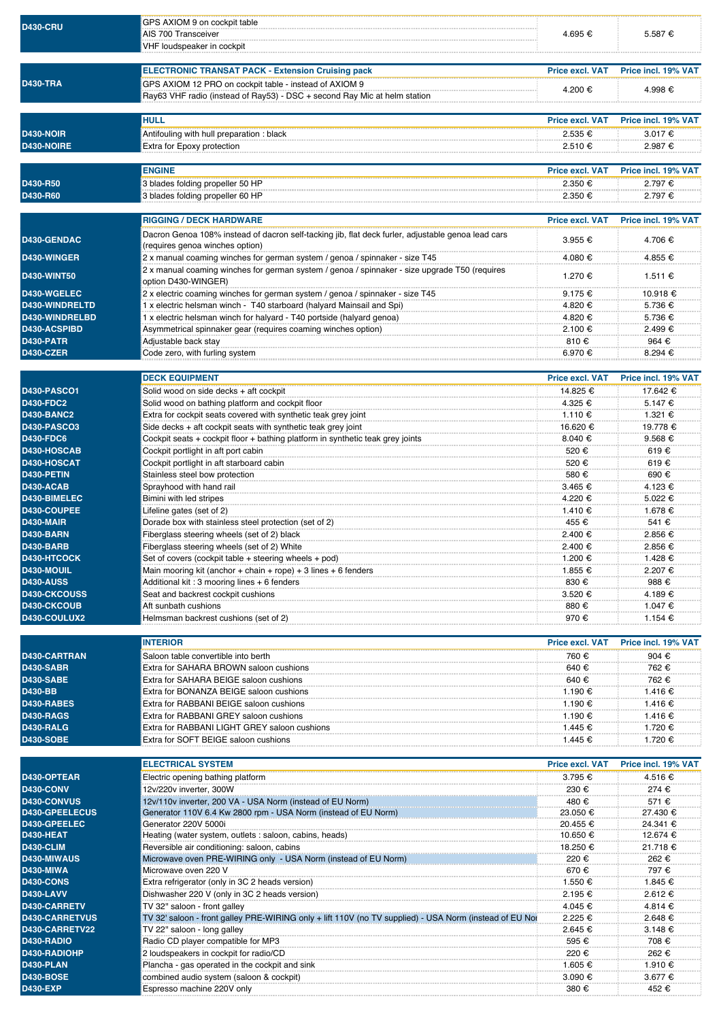| <b>D430-CRU</b>                      | GPS AXIOM 9 on cockpit table<br>AIS 700 Transceiver<br>VHF loudspeaker in cockpit                                                                      | 4.695 €                           | 5.587 €                        |
|--------------------------------------|--------------------------------------------------------------------------------------------------------------------------------------------------------|-----------------------------------|--------------------------------|
|                                      | <b>ELECTRONIC TRANSAT PACK - Extension Cruising pack</b>                                                                                               | <b>Price excl. VAT</b>            | Price incl. 19% VAT            |
| <b>D430-TRA</b>                      | GPS AXIOM 12 PRO on cockpit table - instead of AXIOM 9<br>Ray63 VHF radio (instead of Ray53) - DSC + second Ray Mic at helm station                    | 4.200 €                           | 4.998 €                        |
|                                      | <b>HULL</b>                                                                                                                                            | <b>Price excl. VAT</b>            | Price incl. 19% VAT            |
| <b>D430-NOIR</b>                     | Antifouling with hull preparation : black                                                                                                              | 2.535 €                           | 3.017 €                        |
| D430-NOIRE                           | Extra for Epoxy protection                                                                                                                             | 2.510 €                           | 2.987 €                        |
|                                      | <b>ENGINE</b>                                                                                                                                          | <b>Price excl. VAT</b>            | Price incl. 19% VAT            |
| D430-R50                             | 3 blades folding propeller 50 HP                                                                                                                       | 2.350 €                           | 2.797 €                        |
| D430-R60                             | 3 blades folding propeller 60 HP                                                                                                                       | 2.350 €                           | 2.797 €                        |
|                                      |                                                                                                                                                        |                                   |                                |
|                                      | <b>RIGGING / DECK HARDWARE</b>                                                                                                                         | <b>Price excl. VAT</b>            | Price incl. 19% VAT            |
| D430-GENDAC                          | Dacron Genoa 108% instead of dacron self-tacking jib, flat deck furler, adjustable genoa lead cars<br>(requires genoa winches option)                  | 3.955 €                           | 4.706 €                        |
| D430-WINGER                          | 2 x manual coaming winches for german system / genoa / spinnaker - size T45                                                                            | 4.080 €                           | 4.855 €                        |
| <b>D430-WINT50</b>                   | 2 x manual coaming winches for german system / genoa / spinnaker - size upgrade T50 (requires                                                          | 1.270 €                           | 1.511 €                        |
|                                      | option D430-WINGER)                                                                                                                                    |                                   |                                |
| D430-WGELEC<br>D430-WINDRELTD        | 2 x electric coaming winches for german system / genoa / spinnaker - size T45<br>1 x electric helsman winch - T40 starboard (halyard Mainsail and Spi) | $9.175 \in$                       | 10.918 €                       |
| D430-WINDRELBD                       | 1 x electric helsman winch for halyard - T40 portside (halyard genoa)                                                                                  | 4.820 €<br>4.820 €                | 5.736 €<br>5.736 €             |
| D430-ACSPIBD                         | Asymmetrical spinnaker gear (requires coaming winches option)                                                                                          | 2.100 €                           | 2.499€                         |
| <b>D430-PATR</b>                     | Adjustable back stay                                                                                                                                   | 810€                              | 964 €                          |
| D430-CZER                            | Code zero, with furling system                                                                                                                         | 6.970 €                           | 8.294 €                        |
|                                      | <b>DECK EQUIPMENT</b>                                                                                                                                  | <b>Price excl. VAT</b>            | Price incl. 19% VAT            |
| <b>D430-PASCO1</b>                   | Solid wood on side decks + aft cockpit                                                                                                                 | 14.825 €                          | 17.642 €                       |
| <b>D430-FDC2</b>                     | Solid wood on bathing platform and cockpit floor                                                                                                       | 4.325 €                           | 5.147 €                        |
| <b>D430-BANC2</b>                    | Extra for cockpit seats covered with synthetic teak grey joint                                                                                         | 1.110 €                           | 1.321 €                        |
| <b>D430-PASCO3</b>                   | Side decks + aft cockpit seats with synthetic teak grey joint                                                                                          | 16.620 €                          | 19.778 €                       |
| <b>D430-FDC6</b><br>D430-HOSCAB      | Cockpit seats + cockpit floor + bathing platform in synthetic teak grey joints<br>Cockpit portlight in aft port cabin                                  | $8.040 \in$<br>520 €              | $9.568 \in$<br>619€            |
| D430-HOSCAT                          | Cockpit portlight in aft starboard cabin                                                                                                               | 520 €                             | 619€                           |
| D430-PETIN                           | Stainless steel bow protection                                                                                                                         | 580 €                             | 690 €                          |
| <b>D430-ACAB</b>                     | Sprayhood with hand rail                                                                                                                               | 3.465 €                           | 4.123 €                        |
| D430-BIMELEC<br>D430-COUPEE          | Bimini with led stripes                                                                                                                                | 4.220 €                           | 5.022 €                        |
| D430-MAIR                            | Lifeline gates (set of 2)<br>Dorade box with stainless steel protection (set of 2)                                                                     | 1.410 €<br>455 €                  | 1.678 €<br>541 €               |
| D430-BARN                            | Fiberglass steering wheels (set of 2) black                                                                                                            | 2.400 €                           | 2.856 €                        |
| <b>D430-BARB</b>                     | Fiberglass steering wheels (set of 2) White                                                                                                            | 2.400 €                           | 2.856 €                        |
| D430-HTCOCK                          | Set of covers (cockpit table + steering wheels + pod)                                                                                                  | 1.200 €                           | 1.428 €                        |
| D430-MOUIL<br><b>D430-AUSS</b>       | Main mooring kit (anchor + chain + rope) + 3 lines + 6 fenders<br>Additional kit: 3 mooring lines + 6 fenders                                          | 1.855 €<br>830 €                  | 2.207 €<br>988€                |
| D430-CKCOUSS                         | Seat and backrest cockpit cushions                                                                                                                     | 3.520 €                           | 4.189€                         |
| D430-CKCOUB                          | Aft sunbath cushions                                                                                                                                   | 880 €                             | 1.047 €                        |
| D430-COULUX2                         | Helmsman backrest cushions (set of 2)                                                                                                                  | 970€                              | 1.154 €                        |
|                                      | <b>INTERIOR</b>                                                                                                                                        | <b>Price excl. VAT</b>            | Price incl. 19% VAT            |
| D430-CARTRAN                         | Saloon table convertible into berth                                                                                                                    | 760 €                             | 904 €                          |
| <b>D430-SABR</b>                     | Extra for SAHARA BROWN saloon cushions                                                                                                                 | 640€                              | 762 €                          |
| <b>D430-SABE</b>                     | Extra for SAHARA BEIGE saloon cushions                                                                                                                 | 640 €                             | 762 €                          |
| <b>D430-BB</b><br>D430-RABES         | Extra for BONANZA BEIGE saloon cushions                                                                                                                | 1.190 €                           | 1.416 €                        |
| <b>D430-RAGS</b>                     | Extra for RABBANI BEIGE saloon cushions<br>Extra for RABBANI GREY saloon cushions                                                                      | 1.190 €<br>1.190 €                | 1.416 €<br>1.416 €             |
| D430-RALG                            | Extra for RABBANI LIGHT GREY saloon cushions                                                                                                           | 1.445 €                           | 1.720 €                        |
| <b>D430-SOBE</b>                     | Extra for SOFT BEIGE saloon cushions                                                                                                                   | 1.445 €                           | 1.720 €                        |
|                                      |                                                                                                                                                        |                                   |                                |
| D430-OPTEAR                          | <b>ELECTRICAL SYSTEM</b><br>Electric opening bathing platform                                                                                          | <b>Price excl. VAT</b><br>3.795 € | Price incl. 19% VAT<br>4.516 € |
| D430-CONV                            | 12v/220v inverter, 300W                                                                                                                                | 230 €                             | 274 €                          |
| D430-CONVUS                          | 12v/110v inverter, 200 VA - USA Norm (instead of EU Norm)                                                                                              | 480€                              | 571 €                          |
| D430-GPEELECUS                       | Generator 110V 6.4 Kw 2800 rpm - USA Norm (instead of EU Norm)                                                                                         | 23.050 €                          | 27.430 €                       |
| D430-GPEELEC<br>D430-HEAT            | Generator 220V 5000i<br>Heating (water system, outlets : saloon, cabins, heads)                                                                        | 20.455 €<br>10.650 €              | 24.341 €<br>12.674 €           |
| <b>D430-CLIM</b>                     | Reversible air conditioning: saloon, cabins                                                                                                            | 18.250 €                          | 21.718 €                       |
| D430-MIWAUS                          | Microwave oven PRE-WIRING only - USA Norm (instead of EU Norm)                                                                                         | 220€                              | 262 €                          |
| D430-MIWA                            | Microwave oven 220 V                                                                                                                                   | 670 €                             | 797 €                          |
| <b>D430-CONS</b><br><b>D430-LAVV</b> | Extra refrigerator (only in 3C 2 heads version)<br>Dishwasher 220 V (only in 3C 2 heads version)                                                       | 1.550 €<br>2.195 €                | 1.845 €<br>2.612€              |
| D430-CARRETV                         | TV 32" saloon - front galley                                                                                                                           | 4.045 €                           | 4.814 €                        |
| <b>D430-CARRETVUS</b>                | TV 32' saloon - front galley PRE-WIRING only + lift 110V (no TV supplied) - USA Norm (instead of EU Nor                                                | 2.225 €                           | 2.648 €                        |
| D430-CARRETV22                       | TV 22" saloon - long galley                                                                                                                            | 2.645 €                           | 3.148 €                        |
| D430-RADIO<br>D430-RADIOHP           | Radio CD player compatible for MP3<br>2 loudspeakers in cockpit for radio/CD                                                                           | 595 €<br>220€                     | 708 €<br>262€                  |
| D430-PLAN                            | Plancha - gas operated in the cockpit and sink                                                                                                         | 1.605 €                           | 1.910 €                        |
| <b>D430-BOSE</b>                     | combined audio system (saloon & cockpit)                                                                                                               | 3.090 €                           | 3.677 €                        |
| <b>D430-EXP</b>                      | Espresso machine 220V only                                                                                                                             | 380 €                             | 452€                           |